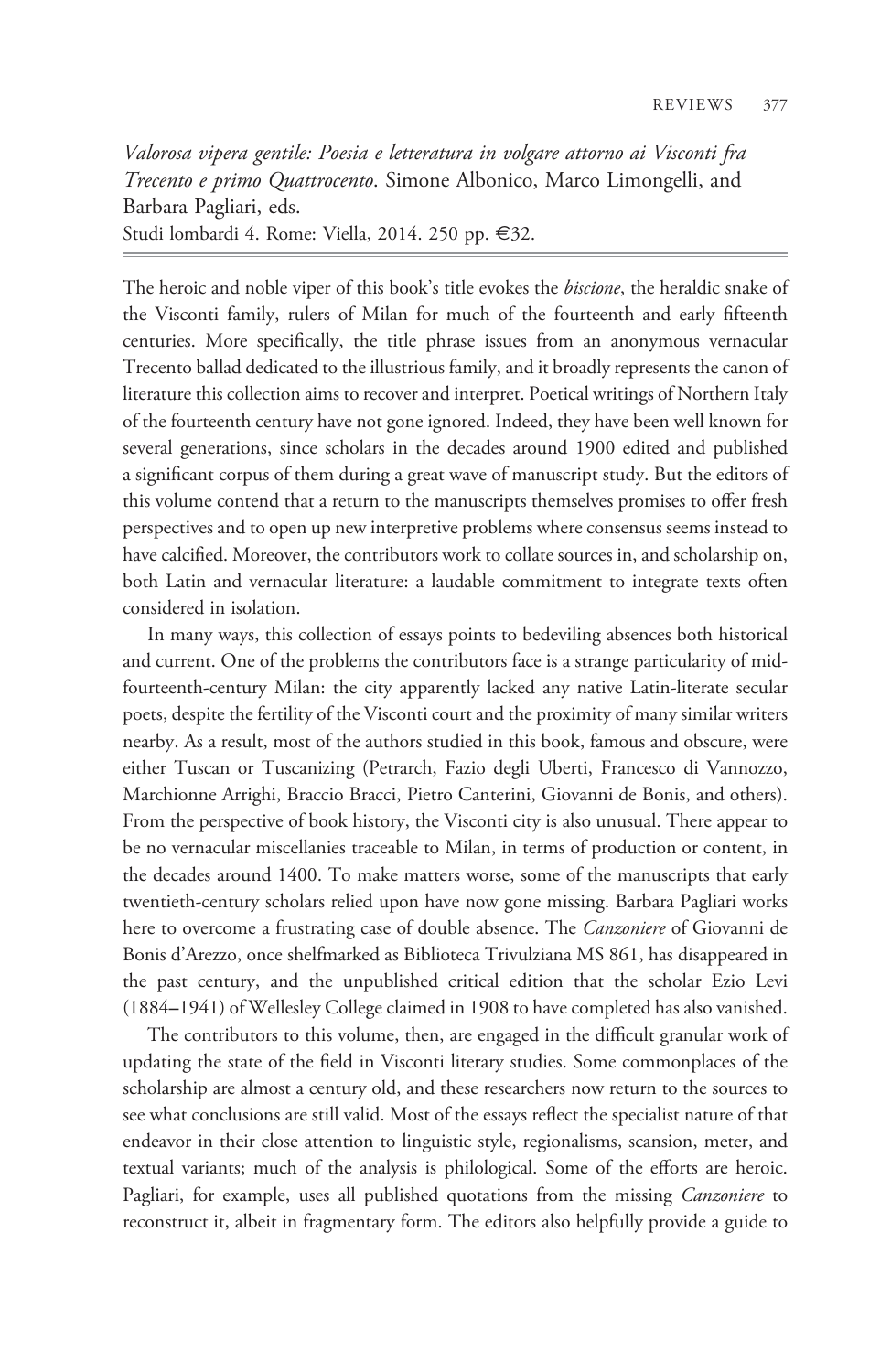Valorosa vipera gentile: Poesia e letteratura in volgare attorno ai Visconti fra Trecento e primo Quattrocento. Simone Albonico, Marco Limongelli, and Barbara Pagliari, eds.

Studi lombardi 4. Rome: Viella, 2014. 250 pp. €32.

The heroic and noble viper of this book's title evokes the *biscione*, the heraldic snake of the Visconti family, rulers of Milan for much of the fourteenth and early fifteenth centuries. More specifically, the title phrase issues from an anonymous vernacular Trecento ballad dedicated to the illustrious family, and it broadly represents the canon of literature this collection aims to recover and interpret. Poetical writings of Northern Italy of the fourteenth century have not gone ignored. Indeed, they have been well known for several generations, since scholars in the decades around 1900 edited and published a significant corpus of them during a great wave of manuscript study. But the editors of this volume contend that a return to the manuscripts themselves promises to offer fresh perspectives and to open up new interpretive problems where consensus seems instead to have calcified. Moreover, the contributors work to collate sources in, and scholarship on, both Latin and vernacular literature: a laudable commitment to integrate texts often considered in isolation.

In many ways, this collection of essays points to bedeviling absences both historical and current. One of the problems the contributors face is a strange particularity of midfourteenth-century Milan: the city apparently lacked any native Latin-literate secular poets, despite the fertility of the Visconti court and the proximity of many similar writers nearby. As a result, most of the authors studied in this book, famous and obscure, were either Tuscan or Tuscanizing (Petrarch, Fazio degli Uberti, Francesco di Vannozzo, Marchionne Arrighi, Braccio Bracci, Pietro Canterini, Giovanni de Bonis, and others). From the perspective of book history, the Visconti city is also unusual. There appear to be no vernacular miscellanies traceable to Milan, in terms of production or content, in the decades around 1400. To make matters worse, some of the manuscripts that early twentieth-century scholars relied upon have now gone missing. Barbara Pagliari works here to overcome a frustrating case of double absence. The Canzoniere of Giovanni de Bonis d'Arezzo, once shelfmarked as Biblioteca Trivulziana MS 861, has disappeared in the past century, and the unpublished critical edition that the scholar Ezio Levi (1884–1941) of Wellesley College claimed in 1908 to have completed has also vanished.

The contributors to this volume, then, are engaged in the difficult granular work of updating the state of the field in Visconti literary studies. Some commonplaces of the scholarship are almost a century old, and these researchers now return to the sources to see what conclusions are still valid. Most of the essays reflect the specialist nature of that endeavor in their close attention to linguistic style, regionalisms, scansion, meter, and textual variants; much of the analysis is philological. Some of the efforts are heroic. Pagliari, for example, uses all published quotations from the missing *Canzoniere* to reconstruct it, albeit in fragmentary form. The editors also helpfully provide a guide to